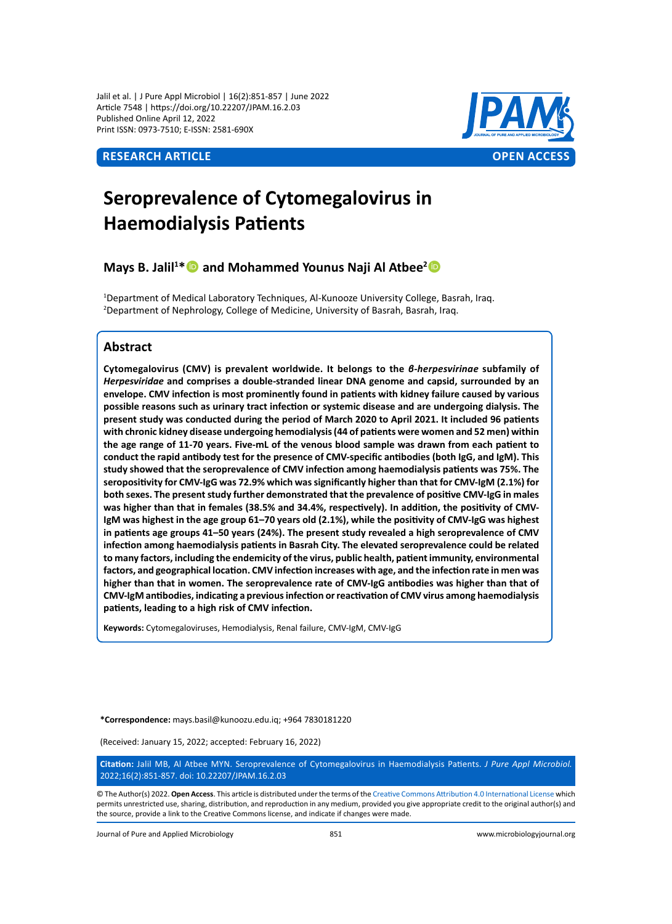Jalil et al. | J Pure Appl Microbiol | 16(2):851-857 | June 2022 Article 7548 | https://doi.org/10.22207/JPAM.16.2.03 Published Online April 12, 2022 Print ISSN: 0973-7510; E-ISSN: 2581-690X



# **Seroprevalence of Cytomegalovirus in Haemodialysis Patients**

# **Mays B. Jalil<sup>1\*</sup> and Mohammed Younus Naji Al Atbee<sup>2</sup>**

1 Department of Medical Laboratory Techniques, Al-Kunooze University College, Basrah, Iraq. 2 Department of Nephrology, College of Medicine, University of Basrah, Basrah, Iraq.

# **Abstract**

**Cytomegalovirus (CMV) is prevalent worldwide. It belongs to the** *β-herpesvirinae* **subfamily of**  *Herpesviridae* **and comprises a double-stranded linear DNA genome and capsid, surrounded by an envelope. CMV infection is most prominently found in patients with kidney failure caused by various possible reasons such as urinary tract infection or systemic disease and are undergoing dialysis. The present study was conducted during the period of March 2020 to April 2021. It included 96 patients with chronic kidney disease undergoing hemodialysis (44 of patients were women and 52 men) within the age range of 11-70 years. Five-mL of the venous blood sample was drawn from each patient to conduct the rapid antibody test for the presence of CMV-specific antibodies (both IgG, and IgM). This study showed that the seroprevalence of CMV infection among haemodialysis patients was 75%. The seropositivity for CMV-IgG was 72.9% which was significantly higher than that for CMV-IgM (2.1%) for both sexes. The present study further demonstrated that the prevalence of positive CMV-IgG in males was higher than that in females (38.5% and 34.4%, respectively). In addition, the positivity of CMV-IgM was highest in the age group 61–70 years old (2.1%), while the positivity of CMV-IgG was highest in patients age groups 41–50 years (24%). The present study revealed a high seroprevalence of CMV infection among haemodialysis patients in Basrah City. The elevated seroprevalence could be related to many factors, including the endemicity of the virus, public health, patient immunity, environmental factors, and geographical location. CMV infection increases with age, and the infection rate in men was higher than that in women. The seroprevalence rate of CMV-IgG antibodies was higher than that of CMV-IgM antibodies, indicating a previous infection or reactivation of CMV virus among haemodialysis patients, leading to a high risk of CMV infection.**

**Keywords:** Cytomegaloviruses, Hemodialysis, Renal failure, CMV-IgM, CMV-IgG

**\*Correspondence:** mays.basil@kunoozu.edu.iq; +964 7830181220

(Received: January 15, 2022; accepted: February 16, 2022)

**Citation:** Jalil MB, Al Atbee MYN. Seroprevalence of Cytomegalovirus in Haemodialysis Patients. *J Pure Appl Microbiol.*  2022;16(2):851-857. doi: 10.22207/JPAM.16.2.03

© The Author(s) 2022. **Open Access**. This article is distributed under the terms of the [Creative Commons Attribution 4.0 International License](https://creativecommons.org/licenses/by/4.0/) which permits unrestricted use, sharing, distribution, and reproduction in any medium, provided you give appropriate credit to the original author(s) and the source, provide a link to the Creative Commons license, and indicate if changes were made.

Journal of Pure and Applied Microbiology 851 www.microbiologyjournal.org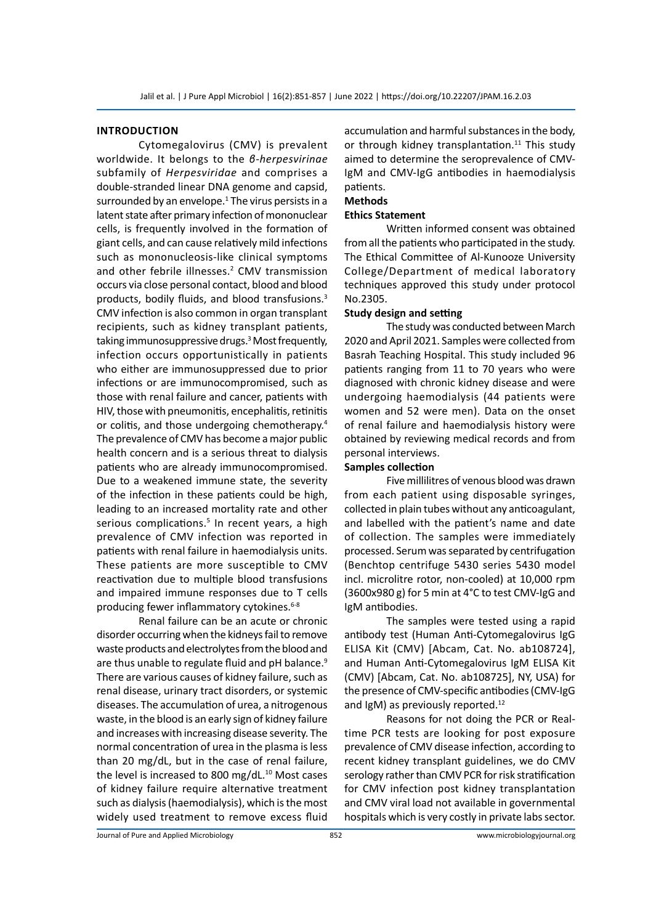#### **Introduction**

Cytomegalovirus (CMV) is prevalent worldwide. It belongs to the *β-herpesvirinae*  subfamily of *Herpesviridae* and comprises a double-stranded linear DNA genome and capsid, surrounded by an envelope.<sup>1</sup> The virus persists in a latent state after primary infection of mononuclear cells, is frequently involved in the formation of giant cells, and can cause relatively mild infections such as mononucleosis-like clinical symptoms and other febrile illnesses.<sup>2</sup> CMV transmission occurs via close personal contact, blood and blood products, bodily fluids, and blood transfusions.<sup>3</sup> CMV infection is also common in organ transplant recipients, such as kidney transplant patients, taking immunosuppressive drugs.3 Most frequently, infection occurs opportunistically in patients who either are immunosuppressed due to prior infections or are immunocompromised, such as those with renal failure and cancer, patients with HIV, those with pneumonitis, encephalitis, retinitis or colitis, and those undergoing chemotherapy.<sup>4</sup> The prevalence of CMV has become a major public health concern and is a serious threat to dialysis patients who are already immunocompromised. Due to a weakened immune state, the severity of the infection in these patients could be high, leading to an increased mortality rate and other serious complications.<sup>5</sup> In recent years, a high prevalence of CMV infection was reported in patients with renal failure in haemodialysis units. These patients are more susceptible to CMV reactivation due to multiple blood transfusions and impaired immune responses due to T cells producing fewer inflammatory cytokines.<sup>6-8</sup>

Renal failure can be an acute or chronic disorder occurring when the kidneys fail to remove waste products and electrolytes from the blood and are thus unable to regulate fluid and pH balance.<sup>9</sup> There are various causes of kidney failure, such as renal disease, urinary tract disorders, or systemic diseases. The accumulation of urea, a nitrogenous waste, in the blood is an early sign of kidney failure and increases with increasing disease severity. The normal concentration of urea in the plasma is less than 20 mg/dL, but in the case of renal failure, the level is increased to 800 mg/dL. $^{10}$  Most cases of kidney failure require alternative treatment such as dialysis (haemodialysis), which is the most widely used treatment to remove excess fluid accumulation and harmful substances in the body, or through kidney transplantation.<sup>11</sup> This study aimed to determine the seroprevalence of CMV-IgM and CMV-IgG antibodies in haemodialysis patients.

# **Methods**

#### **Ethics Statement**

Written informed consent was obtained from all the patients who participated in the study. The Ethical Committee of Al-Kunooze University College/Department of medical laboratory techniques approved this study under protocol No.2305.

#### **Study design and setting**

The study was conducted between March 2020 and April 2021. Samples were collected from Basrah Teaching Hospital. This study included 96 patients ranging from 11 to 70 years who were diagnosed with chronic kidney disease and were undergoing haemodialysis (44 patients were women and 52 were men). Data on the onset of renal failure and haemodialysis history were obtained by reviewing medical records and from personal interviews.

#### **Samples collection**

Five millilitres of venous blood was drawn from each patient using disposable syringes, collected in plain tubes without any anticoagulant, and labelled with the patient's name and date of collection. The samples were immediately processed. Serum was separated by centrifugation (Benchtop centrifuge 5430 series 5430 model incl. microlitre rotor, non-cooled) at 10,000 rpm (3600x980 g) for 5 min at 4°C to test CMV-IgG and IgM antibodies.

The samples were tested using a rapid antibody test (Human Anti-Cytomegalovirus IgG ELISA Kit (CMV) [Abcam, Cat. No. ab108724], and Human Anti-Cytomegalovirus IgM ELISA Kit (CMV) [Abcam, Cat. No. ab108725], NY, USA) for the presence of CMV-specific antibodies (CMV-IgG and IgM) as previously reported.<sup>12</sup>

Reasons for not doing the PCR or Realtime PCR tests are looking for post exposure prevalence of CMV disease infection, according to recent kidney transplant guidelines, we do CMV serology rather than CMV PCR for risk stratification for CMV infection post kidney transplantation and CMV viral load not available in governmental hospitals which is very costly in private labs sector.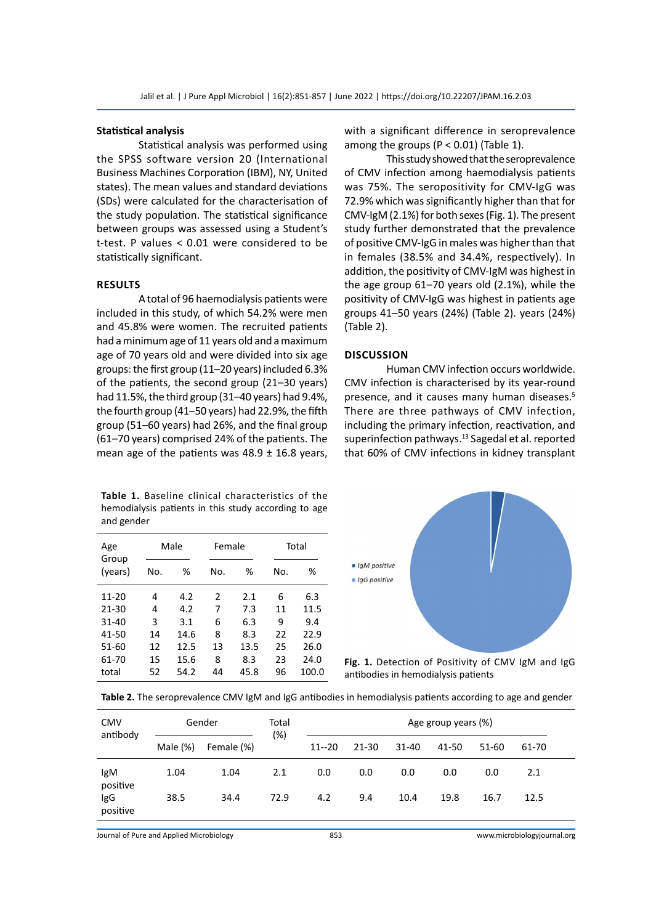#### **Statistical analysis**

Statistical analysis was performed using the SPSS software version 20 (International Business Machines Corporation (IBM), NY, United states). The mean values and standard deviations (SDs) were calculated for the characterisation of the study population. The statistical significance between groups was assessed using a Student's t-test. P values < 0.01 were considered to be statistically significant.

#### **Results**

A total of 96 haemodialysis patients were included in this study, of which 54.2% were men and 45.8% were women. The recruited patients had a minimum age of 11 years old and a maximum age of 70 years old and were divided into six age groups: the first group (11–20 years) included 6.3% of the patients, the second group (21–30 years) had 11.5%, the third group (31–40 years) had 9.4%, the fourth group (41–50 years) had 22.9%, the fifth group (51–60 years) had 26%, and the final group (61–70 years) comprised 24% of the patients. The mean age of the patients was  $48.9 \pm 16.8$  years,

**Table 1.** Baseline clinical characteristics of the hemodialysis patients in this study according to age and gender

| Age<br>Group<br>(years) | Male |      | Female |      | Total |       |  |
|-------------------------|------|------|--------|------|-------|-------|--|
|                         | No.  | ℅    | No.    | %    | No.   | ℅     |  |
| $11 - 20$               | 4    | 4.2  | 2      | 2.1  | 6     | 6.3   |  |
| $21 - 30$               | 4    | 4.2  | 7      | 7.3  | 11    | 11.5  |  |
| $31 - 40$               | 3    | 3.1  | 6      | 6.3  | 9     | 9.4   |  |
| 41-50                   | 14   | 14.6 | 8      | 8.3  | 22    | 22.9  |  |
| $51 - 60$               | 12   | 12.5 | 13     | 13.5 | 25    | 26.0  |  |
| 61-70                   | 15   | 15.6 | 8      | 8.3  | 23    | 24.0  |  |
| total                   | 52   | 54.2 | 44     | 45.8 | 96    | 100.0 |  |

with a significant difference in seroprevalence among the groups ( $P < 0.01$ ) (Table 1).

This study showed that the seroprevalence of CMV infection among haemodialysis patients was 75%. The seropositivity for CMV-IgG was 72.9% which was significantly higher than that for CMV-IgM (2.1%) for both sexes (Fig. 1). The present study further demonstrated that the prevalence of positive CMV-IgG in males was higher than that in females (38.5% and 34.4%, respectively). In addition, the positivity of CMV-IgM was highest in the age group 61–70 years old (2.1%), while the positivity of CMV-IgG was highest in patients age groups 41–50 years (24%) (Table 2). years (24%) (Table 2).

#### **Discussion**

Human CMV infection occurs worldwide. CMV infection is characterised by its year-round presence, and it causes many human diseases.5 There are three pathways of CMV infection, including the primary infection, reactivation, and superinfection pathways.<sup>13</sup> Sagedal et al. reported that 60% of CMV infections in kidney transplant



**Fig. 1.** Detection of Positivity of CMV IgM and IgG antibodies in hemodialysis patients

|  |  |  | Table 2. The seroprevalence CMV IgM and IgG antibodies in hemodialysis patients according to age and gender |
|--|--|--|-------------------------------------------------------------------------------------------------------------|
|--|--|--|-------------------------------------------------------------------------------------------------------------|

| <b>CMV</b><br>antibody | Gender       |              | Total       | Age group years (%) |            |             |             |             |             |  |
|------------------------|--------------|--------------|-------------|---------------------|------------|-------------|-------------|-------------|-------------|--|
|                        | Male $(\%)$  | Female (%)   | (%)         | $11 - 20$           | $21 - 30$  | $31 - 40$   | 41-50       | 51-60       | 61-70       |  |
| lgM<br>positive<br>IgG | 1.04<br>38.5 | 1.04<br>34.4 | 2.1<br>72.9 | 0.0<br>4.2          | 0.0<br>9.4 | 0.0<br>10.4 | 0.0<br>19.8 | 0.0<br>16.7 | 2.1<br>12.5 |  |
| positive               |              |              |             |                     |            |             |             |             |             |  |

Journal of Pure and Applied Microbiology 853 www.microbiologyjournal.org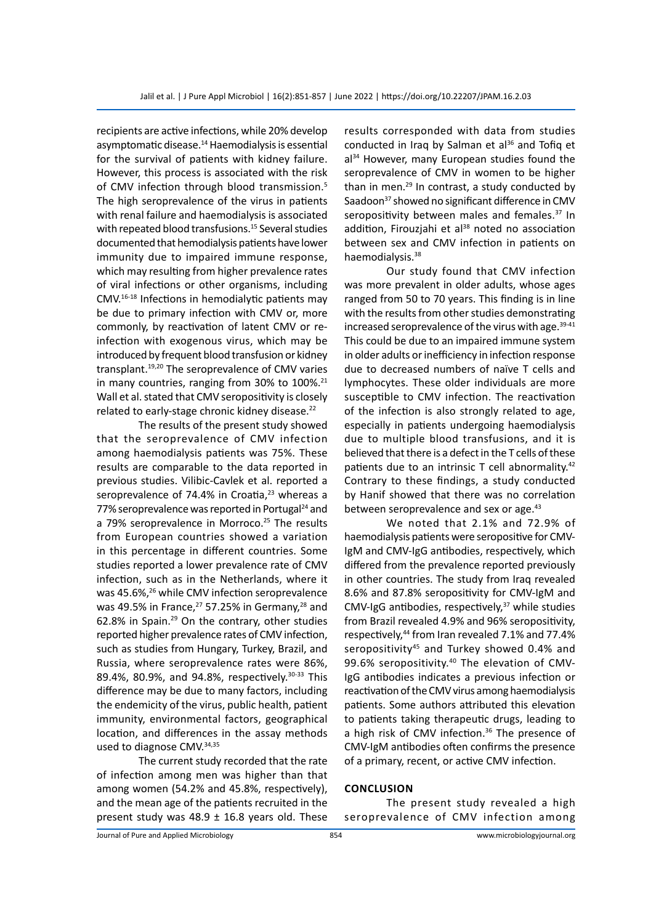recipients are active infections, while 20% develop asymptomatic disease.<sup>14</sup> Haemodialysis is essential for the survival of patients with kidney failure. However, this process is associated with the risk of CMV infection through blood transmission.<sup>5</sup> The high seroprevalence of the virus in patients with renal failure and haemodialysis is associated with repeated blood transfusions.<sup>15</sup> Several studies documented that hemodialysis patients have lower immunity due to impaired immune response, which may resulting from higher prevalence rates of viral infections or other organisms, including CMV.16-18 Infections in hemodialytic patients may be due to primary infection with CMV or, more commonly, by reactivation of latent CMV or reinfection with exogenous virus, which may be introduced by frequent blood transfusion or kidney transplant.<sup>19,20</sup> The seroprevalence of CMV varies in many countries, ranging from 30% to 100%.<sup>21</sup> Wall et al. stated that CMV seropositivity is closely related to early-stage chronic kidney disease.<sup>22</sup>

The results of the present study showed that the seroprevalence of CMV infection among haemodialysis patients was 75%. These results are comparable to the data reported in previous studies. Vilibic-Cavlek et al. reported a seroprevalence of 74.4% in Croatia, $23$  whereas a 77% seroprevalence was reported in Portugal<sup>24</sup> and a 79% seroprevalence in Morroco.<sup>25</sup> The results from European countries showed a variation in this percentage in different countries. Some studies reported a lower prevalence rate of CMV infection, such as in the Netherlands, where it was 45.6%,<sup>26</sup> while CMV infection seroprevalence was 49.5% in France, $27$  57.25% in Germany, $28$  and 62.8% in Spain.29 On the contrary, other studies reported higher prevalence rates of CMV infection, such as studies from Hungary, Turkey, Brazil, and Russia, where seroprevalence rates were 86%, 89.4%, 80.9%, and 94.8%, respectively.<sup>30-33</sup> This difference may be due to many factors, including the endemicity of the virus, public health, patient immunity, environmental factors, geographical location, and differences in the assay methods used to diagnose CMV.34,35

The current study recorded that the rate of infection among men was higher than that among women (54.2% and 45.8%, respectively), and the mean age of the patients recruited in the present study was  $48.9 \pm 16.8$  years old. These results corresponded with data from studies conducted in Iraq by Salman et al<sup>36</sup> and Tofiq et al<sup>34</sup> However, many European studies found the seroprevalence of CMV in women to be higher than in men. $^{29}$  In contrast, a study conducted by Saadoon<sup>37</sup> showed no significant difference in CMV seropositivity between males and females.<sup>37</sup> In addition, Firouzjahi et al<sup>38</sup> noted no association between sex and CMV infection in patients on haemodialysis.<sup>38</sup>

Our study found that CMV infection was more prevalent in older adults, whose ages ranged from 50 to 70 years. This finding is in line with the results from other studies demonstrating increased seroprevalence of the virus with age.<sup>39-41</sup> This could be due to an impaired immune system in older adults or inefficiency in infection response due to decreased numbers of naïve T cells and lymphocytes. These older individuals are more susceptible to CMV infection. The reactivation of the infection is also strongly related to age, especially in patients undergoing haemodialysis due to multiple blood transfusions, and it is believed that there is a defect in the T cells of these patients due to an intrinsic T cell abnormality.<sup>42</sup> Contrary to these findings, a study conducted by Hanif showed that there was no correlation between seroprevalence and sex or age.<sup>43</sup>

We noted that 2.1% and 72.9% of haemodialysis patients were seropositive for CMV-IgM and CMV-IgG antibodies, respectively, which differed from the prevalence reported previously in other countries. The study from Iraq revealed 8.6% and 87.8% seropositivity for CMV-IgM and CMV-IgG antibodies, respectively, $37$  while studies from Brazil revealed 4.9% and 96% seropositivity, respectively,<sup>44</sup> from Iran revealed 7.1% and 77.4% seropositivity<sup>45</sup> and Turkey showed 0.4% and 99.6% seropositivity.<sup>40</sup> The elevation of CMV-IgG antibodies indicates a previous infection or reactivation of the CMV virus among haemodialysis patients. Some authors attributed this elevation to patients taking therapeutic drugs, leading to a high risk of CMV infection.<sup>36</sup> The presence of CMV-IgM antibodies often confirms the presence of a primary, recent, or active CMV infection.

#### **Conclusion**

The present study revealed a high seroprevalence of CMV infection among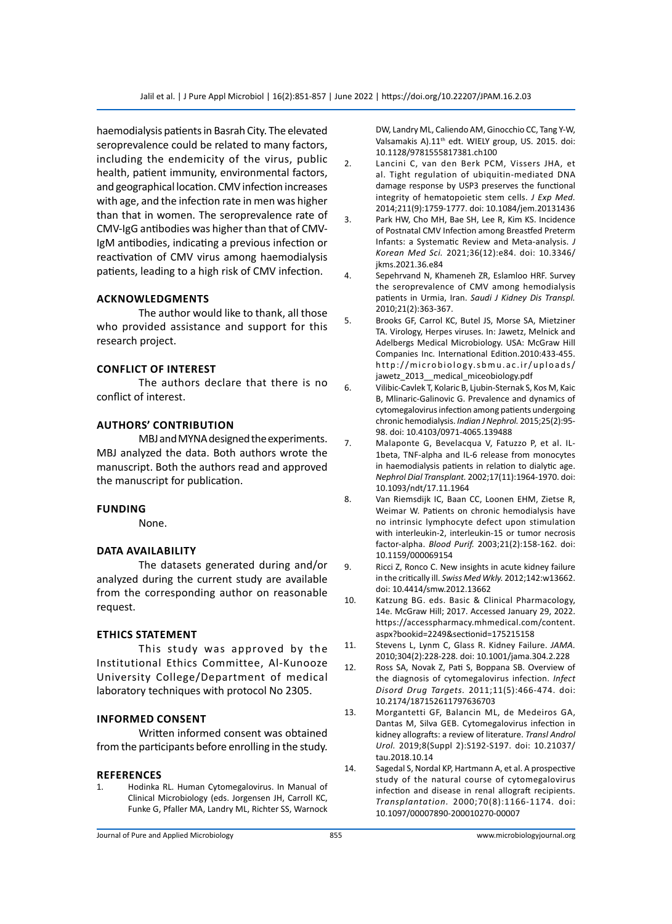haemodialysis patients in Basrah City. The elevated seroprevalence could be related to many factors, including the endemicity of the virus, public health, patient immunity, environmental factors, and geographical location. CMV infection increases with age, and the infection rate in men was higher than that in women. The seroprevalence rate of CMV-IgG antibodies was higher than that of CMV-IgM antibodies, indicating a previous infection or reactivation of CMV virus among haemodialysis patients, leading to a high risk of CMV infection.

#### **Acknowledgments**

The author would like to thank, all those who provided assistance and support for this research project.

### **Conflict of Interest**

The authors declare that there is no conflict of interest.

#### **Authors' Contribution**

MBJ and MYNA designed the experiments. MBJ analyzed the data. Both authors wrote the manuscript. Both the authors read and approved the manuscript for publication.

#### **Funding**

None.

#### **Data Availability**

The datasets generated during and/or analyzed during the current study are available from the corresponding author on reasonable request.

#### **Ethics Statement**

This study was approved by the Institutional Ethics Committee, Al-Kunooze University College/Department of medical laboratory techniques with protocol No 2305.

# **Informed consent**

Written informed consent was obtained from the participants before enrolling in the study.

#### **References**

1. Hodinka RL. Human Cytomegalovirus. In Manual of Clinical Microbiology (eds. Jorgensen JH, Carroll KC, Funke G, Pfaller MA, Landry ML, Richter SS, Warnock DW, Landry ML, Caliendo AM, Ginocchio CC, Tang Y-W, Valsamakis A).11<sup>th</sup> edt. WIELY group, US. 2015. doi: 10.1128/9781555817381.ch100

- 2. Lancini C, van den Berk PCM, Vissers JHA, et al. Tight regulation of ubiquitin-mediated DNA damage response by USP3 preserves the functional integrity of hematopoietic stem cells. *J Exp Med.* 2014;211(9):1759-1777. doi: 10.1084/jem.20131436
- 3. Park HW, Cho MH, Bae SH, Lee R, Kim KS. Incidence of Postnatal CMV Infection among Breastfed Preterm Infants: a Systematic Review and Meta-analysis. *J Korean Med Sci.* 2021;36(12):e84. doi: 10.3346/ jkms.2021.36.e84
- 4. Sepehrvand N, Khameneh ZR, Eslamloo HRF. Survey the seroprevalence of CMV among hemodialysis patients in Urmia, Iran. *Saudi J Kidney Dis Transpl.* 2010;21(2):363-367.
- 5. Brooks GF, Carrol KC, Butel JS, Morse SA, Mietziner TA. Virology, Herpes viruses. In: Jawetz, Melnick and Adelbergs Medical Microbiology. USA: McGraw Hill Companies Inc. International Edition.2010:433-455. http://microbiology.sbmu.ac.ir/uploads/ jawetz\_2013\_medical\_miceobiology.pdf
- 6. Vilibic-Cavlek T, Kolaric B, Ljubin-Sternak S, Kos M, Kaic B, Mlinaric-Galinovic G. Prevalence and dynamics of cytomegalovirus infection among patients undergoing chronic hemodialysis. *Indian J Nephrol.* 2015;25(2):95- 98. doi: 10.4103/0971-4065.139488
- 7. Malaponte G, Bevelacqua V, Fatuzzo P, et al. IL-1beta, TNF-alpha and IL-6 release from monocytes in haemodialysis patients in relation to dialytic age. *Nephrol Dial Transplant.* 2002;17(11):1964-1970. doi: 10.1093/ndt/17.11.1964
- 8. Van Riemsdijk IC, Baan CC, Loonen EHM, Zietse R, Weimar W. Patients on chronic hemodialysis have no intrinsic lymphocyte defect upon stimulation with interleukin-2, interleukin-15 or tumor necrosis factor-alpha. *Blood Purif.* 2003;21(2):158-162. doi: 10.1159/000069154
- 9. Ricci Z, Ronco C. New insights in acute kidney failure in the critically ill. *Swiss Med Wkly.* 2012;142:w13662. doi: 10.4414/smw.2012.13662
- 10. Katzung BG. eds. Basic & Clinical Pharmacology, 14e. McGraw Hill; 2017. Accessed January 29, 2022. https://accesspharmacy.mhmedical.com/content. aspx?bookid=2249&sectionid=175215158
- 11. Stevens L, Lynm C, Glass R. Kidney Failure. *JAMA.* 2010;304(2):228-228. doi: 10.1001/jama.304.2.228
- 12. Ross SA, Novak Z, Pati S, Boppana SB. Overview of the diagnosis of cytomegalovirus infection. *Infect Disord Drug Targets.* 2011;11(5):466-474. doi: 10.2174/187152611797636703
- 13. Morgantetti GF, Balancin ML, de Medeiros GA, Dantas M, Silva GEB. Cytomegalovirus infection in kidney allografts: a review of literature. *Transl Androl Urol.* 2019;8(Suppl 2):S192-S197. doi: 10.21037/ tau.2018.10.14
- 14. Sagedal S, Nordal KP, Hartmann A, et al. A prospective study of the natural course of cytomegalovirus infection and disease in renal allograft recipients. *Transplantation.* 2000;70(8):1166-1174. doi: 10.1097/00007890-200010270-00007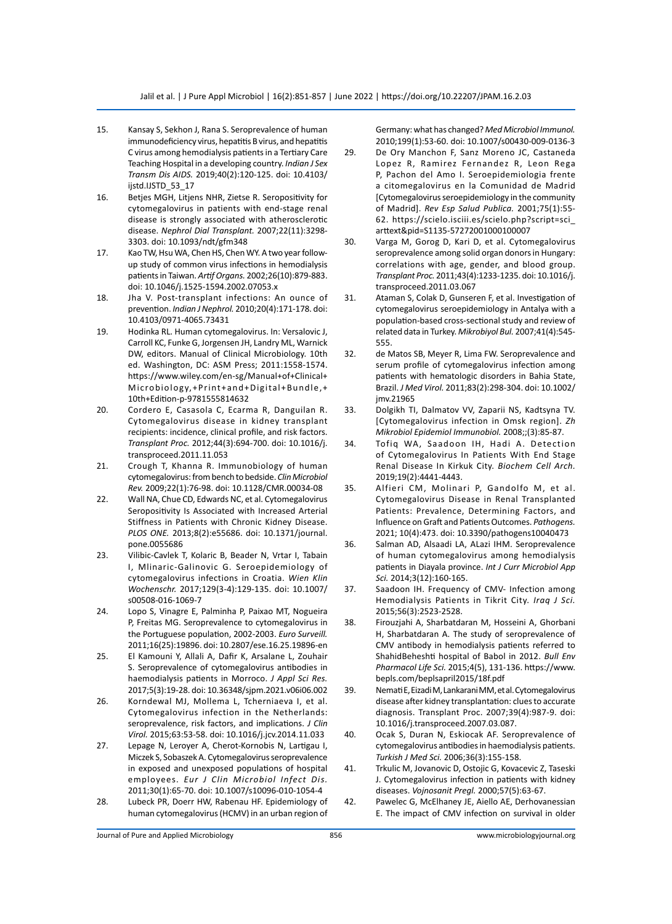- 15. Kansay S, Sekhon J, Rana S. Seroprevalence of human immunodeficiency virus, hepatitis B virus, and hepatitis C virus among hemodialysis patients in a Tertiary Care Teaching Hospital in a developing country. *Indian J Sex Transm Dis AIDS.* 2019;40(2):120-125. doi: 10.4103/ ijstd.IJSTD 53\_17
- 16. Betjes MGH, Litjens NHR, Zietse R. Seropositivity for cytomegalovirus in patients with end-stage renal disease is strongly associated with atherosclerotic disease. *Nephrol Dial Transplant.* 2007;22(11):3298- 3303. doi: 10.1093/ndt/gfm348
- 17. Kao TW, Hsu WA, Chen HS, Chen WY. A two year followup study of common virus infections in hemodialysis patients in Taiwan. *Artif Organs.* 2002;26(10):879-883. doi: 10.1046/j.1525-1594.2002.07053.x
- 18. Jha V. Post-transplant infections: An ounce of prevention. *Indian J Nephrol.* 2010;20(4):171-178. doi: 10.4103/0971-4065.73431
- 19. Hodinka RL. Human cytomegalovirus. In: Versalovic J, Carroll KC, Funke G, Jorgensen JH, Landry ML, Warnick DW, editors. Manual of Clinical Microbiology. 10th ed. Washington, DC: ASM Press; 2011:1558-1574. https://www.wiley.com/en-sg/Manual+of+Clinical+ Microbiology,+Print+and+Digital+Bundle,+ 10th+Edition-p-9781555814632
- 20. Cordero E, Casasola C, Ecarma R, Danguilan R. Cytomegalovirus disease in kidney transplant recipients: incidence, clinical profile, and risk factors. *Transplant Proc.* 2012;44(3):694-700. doi: 10.1016/j. transproceed.2011.11.053
- 21. Crough T, Khanna R. Immunobiology of human cytomegalovirus: from bench to bedside. *Clin Microbiol Rev.* 2009;22(1):76-98. doi: 10.1128/CMR.00034-08
- 22. Wall NA, Chue CD, Edwards NC, et al. Cytomegalovirus Seropositivity Is Associated with Increased Arterial Stiffness in Patients with Chronic Kidney Disease. *PLOS ONE.* 2013;8(2):e55686. doi: 10.1371/journal. pone.0055686
- 23. Vilibic-Cavlek T, Kolaric B, Beader N, Vrtar I, Tabain I, Mlinaric-Galinovic G. Seroepidemiology of cytomegalovirus infections in Croatia. *Wien Klin Wochenschr.* 2017;129(3-4):129-135. doi: 10.1007/ s00508-016-1069-7
- 24. Lopo S, Vinagre E, Palminha P, Paixao MT, Nogueira P, Freitas MG. Seroprevalence to cytomegalovirus in the Portuguese population, 2002-2003. *Euro Surveill.* 2011;16(25):19896. doi: 10.2807/ese.16.25.19896-en
- 25. El Kamouni Y, Allali A, Dafir K, Arsalane L, Zouhair S. Seroprevalence of cytomegalovirus antibodies in haemodialysis patients in Morroco. *J Appl Sci Res.* 2017;5(3):19-28. doi: 10.36348/sjpm.2021.v06i06.002
- 26. Korndewal MJ, Mollema L, Tcherniaeva I, et al. Cytomegalovirus infection in the Netherlands: seroprevalence, risk factors, and implications. *J Clin Virol.* 2015;63:53-58. doi: 10.1016/j.jcv.2014.11.033
- 27. Lepage N, Leroyer A, Cherot-Kornobis N, Lartigau I, Miczek S, Sobaszek A. Cytomegalovirus seroprevalence in exposed and unexposed populations of hospital employees. *Eur J Clin Microbiol Infect Dis.* 2011;30(1):65-70. doi: 10.1007/s10096-010-1054-4
- 28. Lubeck PR, Doerr HW, Rabenau HF. Epidemiology of human cytomegalovirus (HCMV) in an urban region of

Germany: what has changed? *Med Microbiol Immunol.* 2010;199(1):53-60. doi: 10.1007/s00430-009-0136-3

- 29. De Ory Manchon F, Sanz Moreno JC, Castaneda Lopez R, Ramirez Fernandez R, Leon Rega P, Pachon del Amo I. Seroepidemiologia frente a citomegalovirus en la Comunidad de Madrid [Cytomegalovirus seroepidemiology in the community of Madrid]. *Rev Esp Salud Publica.* 2001;75(1):55- 62. https://scielo.isciii.es/scielo.php?script=sci\_ arttext&pid=S1135-57272001000100007
- 30. Varga M, Gorog D, Kari D, et al. Cytomegalovirus seroprevalence among solid organ donors in Hungary: correlations with age, gender, and blood group. *Transplant Proc.* 2011;43(4):1233-1235. doi: 10.1016/j. transproceed.2011.03.067
- 31. Ataman S, Colak D, Gunseren F, et al. Investigation of cytomegalovirus seroepidemiology in Antalya with a population-based cross-sectional study and review of related data in Turkey. *Mikrobiyol Bul.* 2007;41(4):545- 555.
- 32. de Matos SB, Meyer R, Lima FW. Seroprevalence and serum profile of cytomegalovirus infection among patients with hematologic disorders in Bahia State, Brazil. *J Med Virol.* 2011;83(2):298-304. doi: 10.1002/ jmv.21965
- 33. Dolgikh TI, Dalmatov VV, Zaparii NS, Kadtsyna TV. [Cytomegalovirus infection in Omsk region]. *Zh Mikrobiol Epidemiol Immunobiol.* 2008;;(3):85-87.
- 34. Tofiq WA, Saadoon IH, Hadi A. Detection of Cytomegalovirus In Patients With End Stage Renal Disease In Kirkuk City. *Biochem Cell Arch.*  2019;19(2):4441-4443.
- 35. Alfieri CM, Molinari P, Gandolfo M, et al. Cytomegalovirus Disease in Renal Transplanted Patients: Prevalence, Determining Factors, and Influence on Graft and Patients Outcomes. *Pathogens.* 2021; 10(4):473. doi: 10.3390/pathogens10040473
- 36. Salman AD, Alsaadi LA, ALazi IHM. Seroprevalence of human cytomegalovirus among hemodialysis patients in Diayala province. *Int J Curr Microbiol App Sci.* 2014;3(12):160-165.
- 37. Saadoon IH. Frequency of CMV- Infection among Hemodialysis Patients in Tikrit City. *Iraq J Sci.* 2015;56(3):2523-2528.
- 38. Firouzjahi A, Sharbatdaran M, Hosseini A, Ghorbani H, Sharbatdaran A. The study of seroprevalence of CMV antibody in hemodialysis patients referred to ShahidBeheshti hospital of Babol in 2012. *Bull Env Pharmacol Life Sci.* 2015;4(5), 131-136. https://www. bepls.com/beplsapril2015/18f.pdf
- 39. Nemati E, Eizadi M, Lankarani MM, et al. Cytomegalovirus disease after kidney transplantation: clues to accurate diagnosis. Transplant Proc. 2007;39(4):987-9. doi: 10.1016/j.transproceed.2007.03.087.
- 40. Ocak S, Duran N, Eskiocak AF. Seroprevalence of cytomegalovirus antibodies in haemodialysis patients. *Turkish J Med Sci.* 2006;36(3):155-158.
- 41. Trkulic M, Jovanovic D, Ostojic G, Kovacevic Z, Taseski J. Cytomegalovirus infection in patients with kidney diseases. *Vojnosanit Pregl.* 2000;57(5):63-67.
- 42. Pawelec G, McElhaney JE, Aiello AE, Derhovanessian E. The impact of CMV infection on survival in older